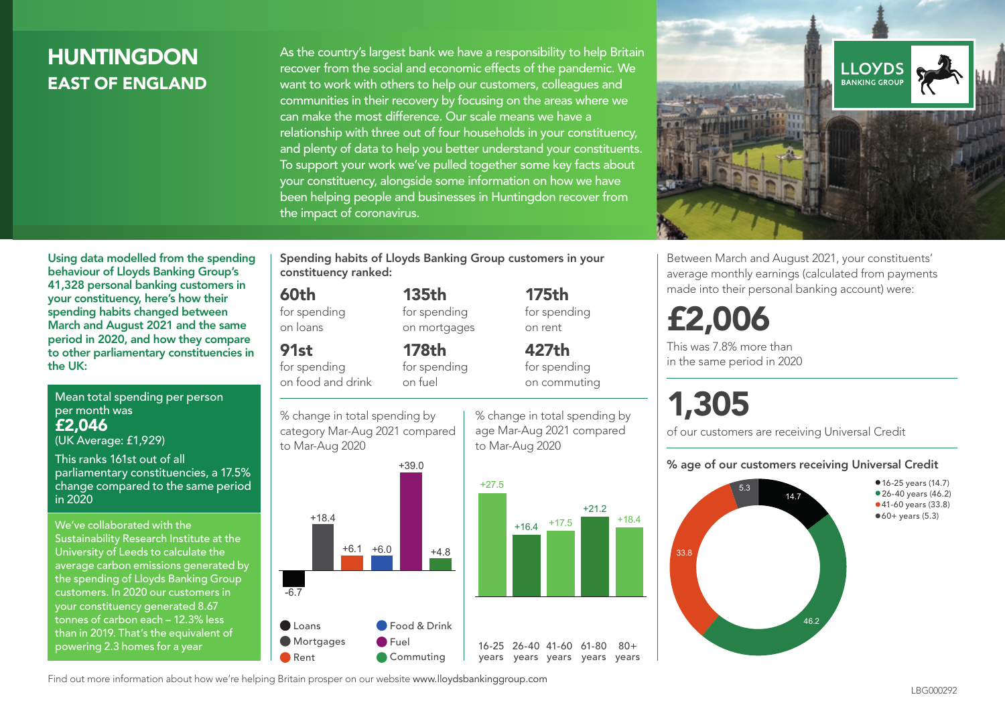# **HUNTINGDON** EAST OF ENGLAND

As the country's largest bank we have a responsibility to help Britain recover from the social and economic effects of the pandemic. We want to work with others to help our customers, colleagues and communities in their recovery by focusing on the areas where we can make the most difference. Our scale means we have a relationship with three out of four households in your constituency, and plenty of data to help you better understand your constituents. To support your work we've pulled together some key facts about your constituency, alongside some information on how we have been helping people and businesses in Huntingdon recover from the impact of coronavirus.



Between March and August 2021, your constituents' average monthly earnings (calculated from payments made into their personal banking account) were:

# £2,006

This was 7.8% more than in the same period in 2020

# 1,305

of our customers are receiving Universal Credit

#### % age of our customers receiving Universal Credit



Using data modelled from the spending behaviour of Lloyds Banking Group's 41,328 personal banking customers in your constituency, here's how their spending habits changed between March and August 2021 and the same period in 2020, and how they compare to other parliamentary constituencies in the UK:

Mean total spending per person per month was £2,046 (UK Average: £1,929)

This ranks 161st out of all

parliamentary constituencies, a 17.5% change compared to the same period in 2020

We've collaborated with the Sustainability Research Institute at the University of Leeds to calculate the average carbon emissions generated by the spending of Lloyds Banking Group customers. In 2020 our customers in your constituency generated 8.67 tonnes of carbon each – 12.3% less than in 2019. That's the equivalent of powering 2.3 homes for a year

Spending habits of Lloyds Banking Group customers in your constituency ranked:

> 135th for spending on mortgages

178th

#### 60th

for spending on loans

91st

for spending on food and drink for spending on fuel

% change in total spending by category Mar-Aug 2021 compared to Mar-Aug 2020



for spending on commuting

427th

175th for spending on rent

% change in total spending by

age Mar-Aug 2021 compared to Mar-Aug 2020



 $80 +$